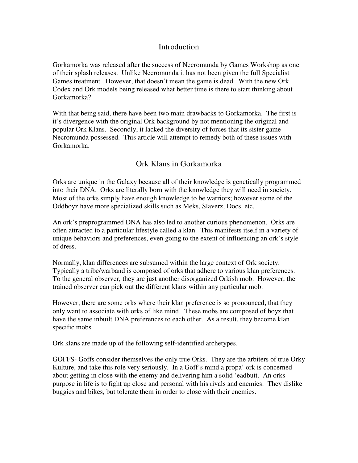### **Introduction**

Gorkamorka was released after the success of Necromunda by Games Workshop as one of their splash releases. Unlike Necromunda it has not been given the full Specialist Games treatment. However, that doesn't mean the game is dead. With the new Ork Codex and Ork models being released what better time is there to start thinking about Gorkamorka?

With that being said, there have been two main drawbacks to Gorkamorka. The first is it's divergence with the original Ork background by not mentioning the original and popular Ork Klans. Secondly, it lacked the diversity of forces that its sister game Necromunda possessed. This article will attempt to remedy both of these issues with Gorkamorka.

## Ork Klans in Gorkamorka

Orks are unique in the Galaxy because all of their knowledge is genetically programmed into their DNA. Orks are literally born with the knowledge they will need in society. Most of the orks simply have enough knowledge to be warriors; however some of the Oddboyz have more specialized skills such as Meks, Slaverz, Docs, etc.

An ork's preprogrammed DNA has also led to another curious phenomenon. Orks are often attracted to a particular lifestyle called a klan. This manifests itself in a variety of unique behaviors and preferences, even going to the extent of influencing an ork's style of dress.

Normally, klan differences are subsumed within the large context of Ork society. Typically a tribe/warband is composed of orks that adhere to various klan preferences. To the general observer, they are just another disorganized Orkish mob. However, the trained observer can pick out the different klans within any particular mob.

However, there are some orks where their klan preference is so pronounced, that they only want to associate with orks of like mind. These mobs are composed of boyz that have the same inbuilt DNA preferences to each other. As a result, they become klan specific mobs.

Ork klans are made up of the following self-identified archetypes.

GOFFS- Goffs consider themselves the only true Orks. They are the arbiters of true Orky Kulture, and take this role very seriously. In a Goff's mind a propa' ork is concerned about getting in close with the enemy and delivering him a solid 'eadbutt. An orks purpose in life is to fight up close and personal with his rivals and enemies. They dislike buggies and bikes, but tolerate them in order to close with their enemies.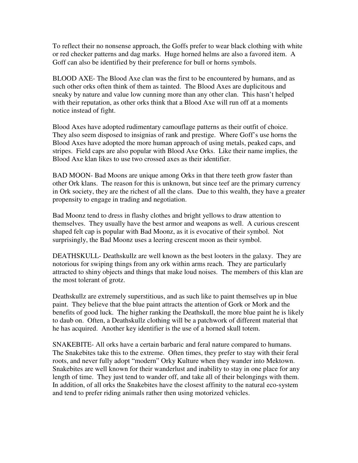To reflect their no nonsense approach, the Goffs prefer to wear black clothing with white or red checker patterns and dag marks. Huge horned helms are also a favored item. A Goff can also be identified by their preference for bull or horns symbols.

BLOOD AXE- The Blood Axe clan was the first to be encountered by humans, and as such other orks often think of them as tainted. The Blood Axes are duplicitous and sneaky by nature and value low cunning more than any other clan. This hasn't helped with their reputation, as other orks think that a Blood Axe will run off at a moments notice instead of fight.

Blood Axes have adopted rudimentary camouflage patterns as their outfit of choice. They also seem disposed to insignias of rank and prestige. Where Goff's use horns the Blood Axes have adopted the more human approach of using metals, peaked caps, and stripes. Field caps are also popular with Blood Axe Orks. Like their name implies, the Blood Axe klan likes to use two crossed axes as their identifier.

BAD MOON- Bad Moons are unique among Orks in that there teeth grow faster than other Ork klans. The reason for this is unknown, but since teef are the primary currency in Ork society, they are the richest of all the clans. Due to this wealth, they have a greater propensity to engage in trading and negotiation.

Bad Moonz tend to dress in flashy clothes and bright yellows to draw attention to themselves. They usually have the best armor and weapons as well. A curious crescent shaped felt cap is popular with Bad Moonz, as it is evocative of their symbol. Not surprisingly, the Bad Moonz uses a leering crescent moon as their symbol.

DEATHSKULL- Deathskullz are well known as the best looters in the galaxy. They are notorious for swiping things from any ork within arms reach. They are particularly attracted to shiny objects and things that make loud noises. The members of this klan are the most tolerant of grotz.

Deathskullz are extremely superstitious, and as such like to paint themselves up in blue paint. They believe that the blue paint attracts the attention of Gork or Mork and the benefits of good luck. The higher ranking the Deathskull, the more blue paint he is likely to daub on. Often, a Deathskullz clothing will be a patchwork of different material that he has acquired. Another key identifier is the use of a horned skull totem.

SNAKEBITE- All orks have a certain barbaric and feral nature compared to humans. The Snakebites take this to the extreme. Often times, they prefer to stay with their feral roots, and never fully adopt "modern" Orky Kulture when they wander into Mektown. Snakebites are well known for their wanderlust and inability to stay in one place for any length of time. They just tend to wander off, and take all of their belongings with them. In addition, of all orks the Snakebites have the closest affinity to the natural eco-system and tend to prefer riding animals rather then using motorized vehicles.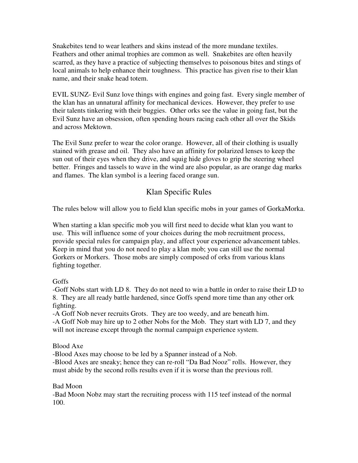Snakebites tend to wear leathers and skins instead of the more mundane textiles. Feathers and other animal trophies are common as well. Snakebites are often heavily scarred, as they have a practice of subjecting themselves to poisonous bites and stings of local animals to help enhance their toughness. This practice has given rise to their klan name, and their snake head totem.

EVIL SUNZ- Evil Sunz love things with engines and going fast. Every single member of the klan has an unnatural affinity for mechanical devices. However, they prefer to use their talents tinkering with their buggies. Other orks see the value in going fast, but the Evil Sunz have an obsession, often spending hours racing each other all over the Skids and across Mektown.

The Evil Sunz prefer to wear the color orange. However, all of their clothing is usually stained with grease and oil. They also have an affinity for polarized lenses to keep the sun out of their eyes when they drive, and squig hide gloves to grip the steering wheel better. Fringes and tassels to wave in the wind are also popular, as are orange dag marks and flames. The klan symbol is a leering faced orange sun.

# Klan Specific Rules

The rules below will allow you to field klan specific mobs in your games of GorkaMorka.

When starting a klan specific mob you will first need to decide what klan you want to use. This will influence some of your choices during the mob recruitment process, provide special rules for campaign play, and affect your experience advancement tables. Keep in mind that you do not need to play a klan mob; you can still use the normal Gorkers or Morkers. Those mobs are simply composed of orks from various klans fighting together.

### Goffs

-Goff Nobs start with LD 8. They do not need to win a battle in order to raise their LD to 8. They are all ready battle hardened, since Goffs spend more time than any other ork fighting.

-A Goff Nob never recruits Grots. They are too weedy, and are beneath him. -A Goff Nob may hire up to 2 other Nobs for the Mob. They start with LD 7, and they will not increase except through the normal campaign experience system.

### Blood Axe

-Blood Axes may choose to be led by a Spanner instead of a Nob.

-Blood Axes are sneaky; hence they can re-roll "Da Bad Nooz" rolls. However, they must abide by the second rolls results even if it is worse than the previous roll.

### Bad Moon

-Bad Moon Nobz may start the recruiting process with 115 teef instead of the normal 100.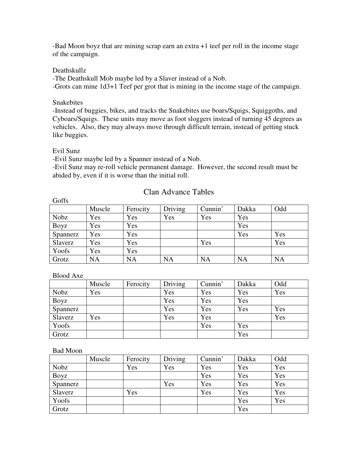-Bad Moon boyz that are mining scrap earn an extra +1 teef per roll in the income stage of the campaign.

### Deathskullz

-The Deathskull Mob maybe led by a Slaver instead of a Nob. -Grots can mine 1d3+1 Teef per grot that is mining in the income stage of the campaign.

### Snakebites

-Instead of buggies, bikes, and tracks the Snakebites use boars/Squigs, Squiggoths, and Cyboars/Squigs. These units may move as foot sloggers instead of turning 45 degrees as vehicles. Also, they may always move through difficult terrain, instead of getting stuck like buggies.

#### Evil Sunz

Goffs

-Evil Sunz maybe led by a Spanner instead of a Nob.

-Evil Sunz may re-roll vehicle permanent damage. However, the second result must be abided by, even if it is worse than the initial roll.

### Clan Advance Tables

| $\sim$   |           |           |           |           |           |           |
|----------|-----------|-----------|-----------|-----------|-----------|-----------|
|          | Muscle    | Ferocity  | Driving   | Cunnin'   | Dakka     | Odd       |
| Nobz     | Yes       | Yes       | Yes       | Yes       | Yes       |           |
| Boyz     | Yes       | Yes       |           |           | Yes       |           |
| Spannerz | Yes       | Yes       |           |           | Yes       | Yes       |
| Slaverz  | Yes       | Yes       |           | Yes       |           | Yes       |
| Yoofs    | Yes       | Yes       |           |           |           |           |
| Grotz    | <b>NA</b> | <b>NA</b> | <b>NA</b> | <b>NA</b> | <b>NA</b> | <b>NA</b> |

#### Blood Axe

|          | Muscle | Ferocity | Driving | Cunnin' | Dakka | Odd |
|----------|--------|----------|---------|---------|-------|-----|
| Nobz     | Yes    |          | Yes     | Yes     | Yes   | Yes |
| Boyz     |        |          | Yes     | Yes     | Yes   |     |
| Spannerz |        |          | Yes     | Yes     | Yes   | Yes |
| Slaverz  | Yes    |          | Yes     | Yes     |       | Yes |
| Yoofs    |        |          |         | Yes     | Yes   |     |
| Grotz    |        |          |         |         | Yes   |     |

#### Bad Moon

|          | Muscle | Ferocity | Driving | Cunnin' | Dakka | Odd |
|----------|--------|----------|---------|---------|-------|-----|
| Nobz     |        | Yes      | Yes     | Yes     | Yes   | Yes |
| Boyz     |        |          |         | Yes     | Yes   | Yes |
| Spannerz |        |          | Yes     | Yes     | Yes   | Yes |
| Slaverz  |        | Yes      |         | Yes     | Yes   | Yes |
| Yoofs    |        |          |         |         | Yes   | Yes |
| Grotz    |        |          |         |         | Yes   |     |